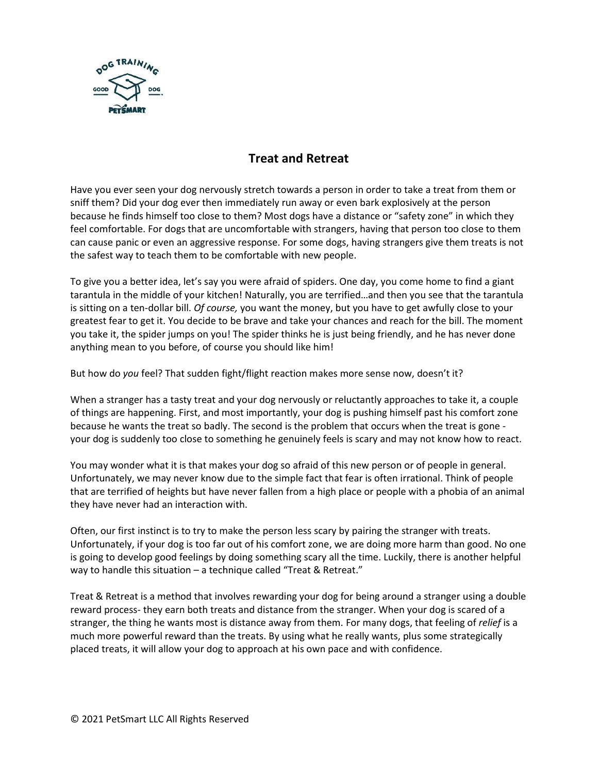

## **Treat and Retreat**

Have you ever seen your dog nervously stretch towards a person in order to take a treat from them or sniff them? Did your dog ever then immediately run away or even bark explosively at the person because he finds himself too close to them? Most dogs have a distance or "safety zone" in which they feel comfortable. For dogs that are uncomfortable with strangers, having that person too close to them can cause panic or even an aggressive response. For some dogs, having strangers give them treats is not the safest way to teach them to be comfortable with new people.

To give you a better idea, let's say you were afraid of spiders. One day, you come home to find a giant tarantula in the middle of your kitchen! Naturally, you are terrified…and then you see that the tarantula is sitting on a ten-dollar bill. *Of course,* you want the money, but you have to get awfully close to your greatest fear to get it. You decide to be brave and take your chances and reach for the bill. The moment you take it, the spider jumps on you! The spider thinks he is just being friendly, and he has never done anything mean to you before, of course you should like him!

But how do *you* feel? That sudden fight/flight reaction makes more sense now, doesn't it?

When a stranger has a tasty treat and your dog nervously or reluctantly approaches to take it, a couple of things are happening. First, and most importantly, your dog is pushing himself past his comfort zone because he wants the treat so badly. The second is the problem that occurs when the treat is gone your dog is suddenly too close to something he genuinely feels is scary and may not know how to react.

You may wonder what it is that makes your dog so afraid of this new person or of people in general. Unfortunately, we may never know due to the simple fact that fear is often irrational. Think of people that are terrified of heights but have never fallen from a high place or people with a phobia of an animal they have never had an interaction with.

Often, our first instinct is to try to make the person less scary by pairing the stranger with treats. Unfortunately, if your dog is too far out of his comfort zone, we are doing more harm than good. No one is going to develop good feelings by doing something scary all the time. Luckily, there is another helpful way to handle this situation – a technique called "Treat & Retreat."

Treat & Retreat is a method that involves rewarding your dog for being around a stranger using a double reward process- they earn both treats and distance from the stranger. When your dog is scared of a stranger, the thing he wants most is distance away from them. For many dogs, that feeling of *relief* is a much more powerful reward than the treats. By using what he really wants, plus some strategically placed treats, it will allow your dog to approach at his own pace and with confidence.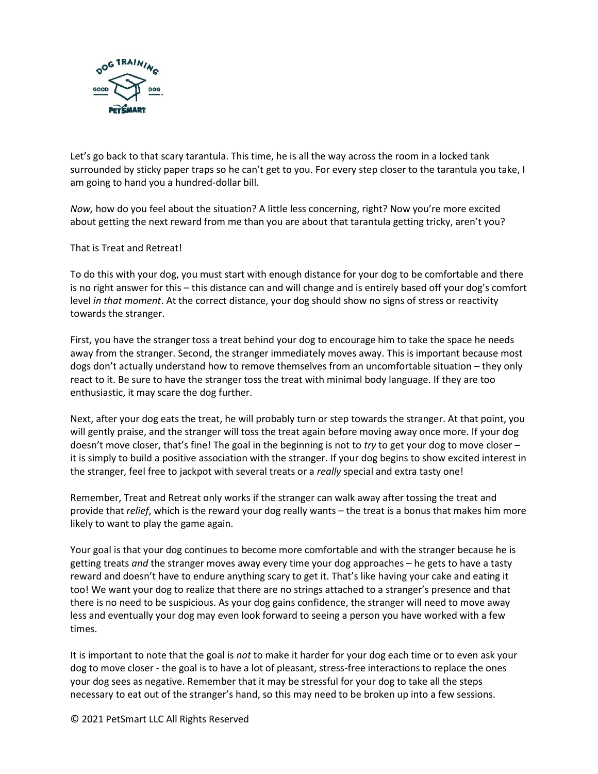

Let's go back to that scary tarantula. This time, he is all the way across the room in a locked tank surrounded by sticky paper traps so he can't get to you. For every step closer to the tarantula you take, I am going to hand you a hundred-dollar bill.

*Now,* how do you feel about the situation? A little less concerning, right? Now you're more excited about getting the next reward from me than you are about that tarantula getting tricky, aren't you?

That is Treat and Retreat!

To do this with your dog, you must start with enough distance for your dog to be comfortable and there is no right answer for this – this distance can and will change and is entirely based off your dog's comfort level *in that moment*. At the correct distance, your dog should show no signs of stress or reactivity towards the stranger.

First, you have the stranger toss a treat behind your dog to encourage him to take the space he needs away from the stranger. Second, the stranger immediately moves away. This is important because most dogs don't actually understand how to remove themselves from an uncomfortable situation – they only react to it. Be sure to have the stranger toss the treat with minimal body language. If they are too enthusiastic, it may scare the dog further.

Next, after your dog eats the treat, he will probably turn or step towards the stranger. At that point, you will gently praise, and the stranger will toss the treat again before moving away once more. If your dog doesn't move closer, that's fine! The goal in the beginning is not to *try* to get your dog to move closer – it is simply to build a positive association with the stranger. If your dog begins to show excited interest in the stranger, feel free to jackpot with several treats or a *really* special and extra tasty one!

Remember, Treat and Retreat only works if the stranger can walk away after tossing the treat and provide that *relief*, which is the reward your dog really wants – the treat is a bonus that makes him more likely to want to play the game again.

Your goal is that your dog continues to become more comfortable and with the stranger because he is getting treats *and* the stranger moves away every time your dog approaches – he gets to have a tasty reward and doesn't have to endure anything scary to get it. That's like having your cake and eating it too! We want your dog to realize that there are no strings attached to a stranger's presence and that there is no need to be suspicious. As your dog gains confidence, the stranger will need to move away less and eventually your dog may even look forward to seeing a person you have worked with a few times.

It is important to note that the goal is *not* to make it harder for your dog each time or to even ask your dog to move closer - the goal is to have a lot of pleasant, stress-free interactions to replace the ones your dog sees as negative. Remember that it may be stressful for your dog to take all the steps necessary to eat out of the stranger's hand, so this may need to be broken up into a few sessions.